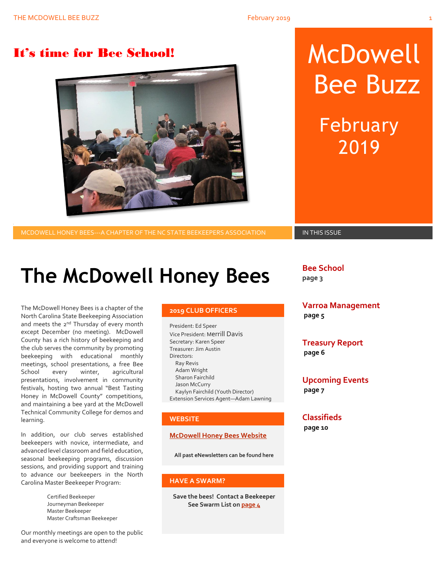

# It's time for Bee School! MCDOWEll Bee Buzz

February 2019

MCDOWELL HONEY BEES---A CHAPTER OF THE NC STATE BEEKEEPERS ASSOCIATION **IN THIS ISSUE** 

# **The McDowell Honey Bees**

The McDowell Honey Bees is a chapter of the North Carolina State Beekeeping Association and meets the 2<sup>nd</sup> Thursday of every month except December (no meeting). McDowell County has a rich history of beekeeping and the club serves the community by promoting beekeeping with educational monthly meetings, school presentations, a free Bee School every winter, agricultural presentations, involvement in community festivals, hosting two annual "Best Tasting Honey in McDowell County" competitions, and maintaining a bee yard at the McDowell Technical Community College for demos and learning.

In addition, our club serves established beekeepers with novice, intermediate, and advanced level classroom and field education, seasonal beekeeping programs, discussion sessions, and providing support and training to advance our beekeepers in the North Carolina Master Beekeeper Program:

> Certified Beekeeper Journeyman Beekeeper Master Beekeeper Master Craftsman Beekeeper

Our monthly meetings are open to the public and everyone is welcome to attend!

### **2019 CLUB OFFICERS**

President: Ed Speer Vice President: Merrill Davis Secretary: Karen Speer Treasurer: Jim Austin Directors: Ray Revis Adam Wright Sharon Fairchild Jason McCurry Kaylyn Fairchild (Youth Director) Extension Services Agent—Adam Lawning

### **WEBSITE**

### **[McDowell Honey Bees Website](http://www.mcdowellhoneybees.org/)**

**All past eNewsletters can be found here**

### **HAVE A SWARM?**

**Save the bees! Contact a Beekeeper See Swarm List o[n page 4](#page-8-0)**

**Bee School page 3**

**Varroa Management page 5**

**Treasury Report page 6**

**Upcoming Events page 7**

## **Classifieds**

**page 10**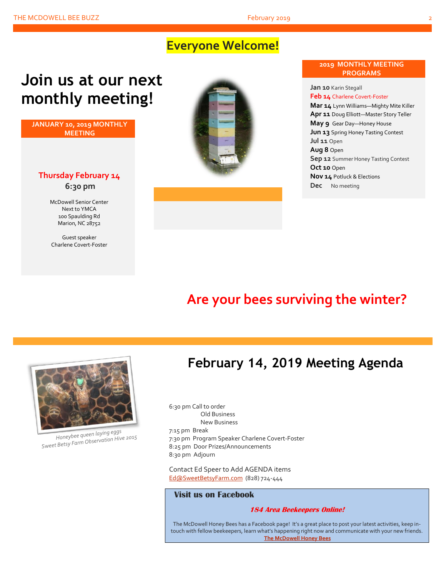## **Everyone Welcome!**

# **Join us at our next monthly meeting!**

**JANUARY 10, 2019 MONTHLY MEETING**

### **Thursday February 14 6:30 pm**

McDowell Senior Center Next to YMCA 100 Spaulding Rd Marion, NC 28752

Guest speaker Charlene Covert-Foster



### **2019 MONTHLY MEETING PROGRAMS**

**Jan 10** Karin Stegall **Feb 14** Charlene Covert-Foster **Mar 14** Lynn Williams—Mighty Mite Killer **Apr 11** Doug Elliott—Master Story Teller **May 9** Gear Day—Honey House **Jun 13** Spring Honey Tasting Contest **Jul 11** Open **Aug 8** Open **Sep 12** Summer Honey Tasting Contest **Oct 10** Open **Nov 14** Potluck & Elections **Dec** No meeting

## **Are your bees surviving the winter?**



Honeybee queen laying eggs Honeybee queen laying eggs<br>Sweet Betsy Farm Observation Hive 2015

## **February 14, 2019 Meeting Agenda**

6:30 pm Call to order Old Business New Business 7:15 pm Break 7:30 pm Program Speaker Charlene Covert-Foster 8:25 pm Door Prizes/Announcements 8:30 pm Adjourn

Contact Ed Speer to Add AGENDA items [Ed@SweetBetsyFarm.com](mailto:Ed@SweetBetsyFarm.com) (828) 724-444

### **Visit us on Facebook**

### **184 Area Beekeepers Online!**

The McDowell Honey Bees has a Facebook page! It's a great place to post your latest activities, keep intouch with fellow beekeepers, learn what's happening right now and communicate with your new friends. **[The McDowell Honey Bees](https://www.facebook.com/groups/MHBee/)**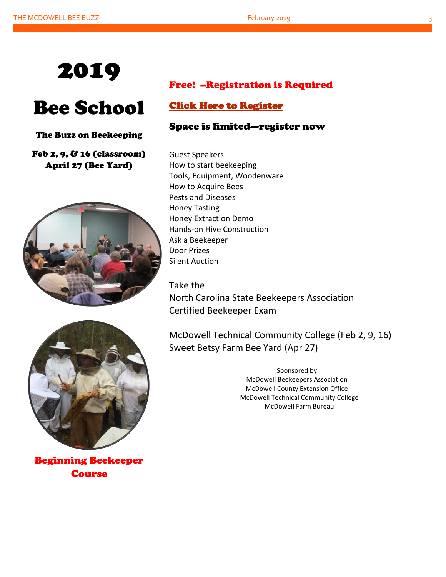

# Bee School

### The Buzz on Beekeeping

## Feb 2, 9, & 16 (classroom) April 27 (Bee Yard)





Beginning Beekeeper **Course** 

## Free! --Registration is Required

## [Click Here to Register](https://www.mcdowellhoneybees.org/buzz-on-beekeeping-2018)

## Space is limited—register now

Guest Speakers How to start beekeeping Tools, Equipment, Woodenware How to Acquire Bees Pests and Diseases Honey Tasting Honey Extraction Demo Hands-on Hive Construction Ask a Beekeeper Door Prizes Silent Auction

Take the North Carolina State Beekeepers Association Certified Beekeeper Exam

McDowell Technical Community College (Feb 2, 9, 16) Sweet Betsy Farm Bee Yard (Apr 27)

> Sponsored by McDowell Beekeepers Association McDowell County Extension Office McDowell Technical Community College McDowell Farm Bureau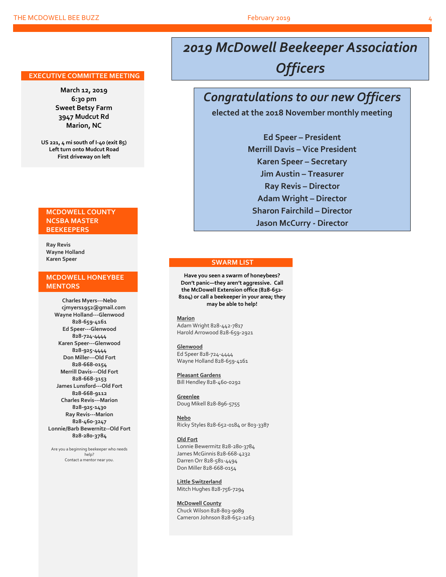### **EXECUTIVE COMMITTEE MEETING**

**March 12, 2019 6:30 pm Sweet Betsy Farm 3947 Mudcut Rd Marion, NC**

**US 221, 4 mi south of I-40 (exit 85) Left turn onto Mudcut Road First driveway on left**

### **MCDOWELL COUNTY NCSBA MASTER BEEKEEPERS**

**Ray Revis Wayne Holland Karen Speer**

### **MCDOWELL HONEYBEE MENTORS**

**Charles Myers---Nebo cjmyers1952@gmail.com Wayne Holland---Glenwood 828-659-4161 Ed Speer---Glenwood 828-724-4444 Karen Speer---Glenwood 828-925-4444 Don Miller---Old Fort 828-668-0154 Merrill Davis---Old Fort 828-668-3153 James Lunsford---Old Fort 828-668-9112 Charles Revis---Marion 828-925-1430 Ray Revis---Marion 828-460-3247 Lonnie/Barb Bewernitz--Old Fort 828-280-3784**

Are you a beginning beekeeper who needs help? Contact a mentor near you.

## *2019 McDowell Beekeeper Association Officers*

## *Congratulations to our new Officers*

**elected at the 2018 November monthly meeting**

**Ed Speer – President Merrill Davis – Vice President Karen Speer – Secretary Jim Austin – Treasurer Ray Revis – Director Adam Wright – Director Sharon Fairchild – Director Jason McCurry - Director**

### **SWARM LIST**

**Have you seen a swarm of honeybees? Don't panic—they aren't aggressive. Call the McDowell Extension office (828-652- 8104) or call a beekeeper in your area; they may be able to help!**

**Marion** Adam Wright 828-442-7817 Harold Arrowood 828-659-2921

**Glenwood** Ed Speer 828-724-4444 Wayne Holland 828-659-4161

**Pleasant Gardens** Bill Hendley 828-460-0292

**Greenlee** Doug Mikell 828-896-5755

**Nebo** Ricky Styles 828-652-0184 or 803-3387

### **Old Fort**

Lonnie Bewermitz 828-280-3784 James McGinnis 828-668-4232 Darren Orr 828-581-4494 Don Miller 828-668-0154

**Little Switzerland** Mitch Hughes 828-756-7294

**McDowell County** Chuck Wilson 828-803-9089 Cameron Johnson 828-652-1263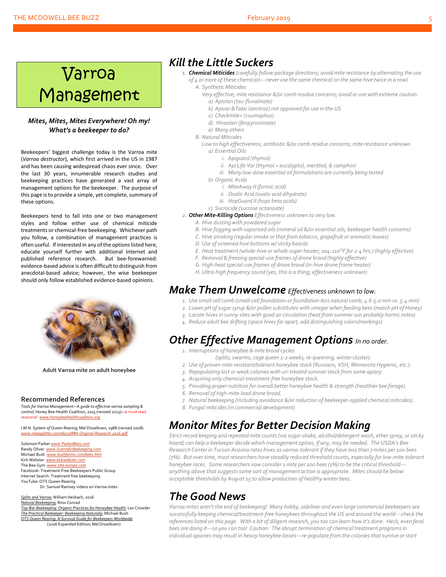### THE MCDOWELL BEE BUZZ **FEBRUARY 2019** 5 THE MCDOWELL BEE BUZZ

### *Mites, Mites, Mites Everywhere! Oh my! What's a beekeeper to do?*

Beekeepers' biggest challenge today is the Varroa mite (*Varroa destructor*), which first arrived in the US in 1987 and has been causing widespread chaos ever since. Over the last 30 years, innumerable research studies and beekeeping practices have generated a vast array of management options for the beekeeper. The purpose of this page is to provide a simple, yet complete, summary of these options.

Beekeepers tend to fall into one or two management styles and follow either use of chemical miticide treatments or chemical-free beekeeping. Whichever path you follow, a combination of management practices is often useful. If interested in any of the options listed here, educate yourself further with additional Internet and published reference research. But bee-forewarned: evidence-based advice is often difficult to distinguish from anecdotal-based advice; however, the wise beekeeper should only follow established evidence-based opinions.



**Adult Varroa mite on adult honeybee**

### **Recommended References**

*Tools for Varroa Management—A guide to effective varroa sampling & control*; Honey Bee Health Coalition, 2015 (revised 2015)—a must read resource! *[www.honeybeehealthcoalition.org](http://www.honeybeehealthcoalition.org/)*

*I.M.N. System of Queen Rearing*; Mel Disselkoen, 1988 (revised 2008) *[www.mdasplitter.com/docs/IMN-Original-Research-2016.pdf](http://www.mdasplitter.com/docs/IMN-Original-Research-2016.pdf)*

Solomon Parker *[www.ParkerBees.com](http://www.parkerbees.com/)* Randy Oliver *[www.ScientificBeekeeping.com](http://www.scientificbeekeeping.com/)*  Michael Bush *[www.bushfarms.com/bees.htm](http://www.bushfarms.com/bees.htm)* Kirk Webster *[www.kirkwebster.com](http://www.kirkwebster.com/)* The Bee Gym *[www.vita-europe.com](http://www.vita-europe.com/)* Facebook: Treatment-Free Beekeepers Public Group Internet Search: Treatment free beekeeping YouTube: OTS Queen Rearing Dr. Samuel Ramsey videos on Varroa mites

*Splits and Varroa*; William Hesbach, 2016 *Natural Beekeeping*; Ross Conrad *Top-Bar Beekeeping: Organic Practices for Honeybee Health*; Les Crowder *The Practical Beekeeper: Beekeeping Naturally*; Michael Bush *OTS Queen Rearing: A Survival Guide for Beekeepers Worldwide* (2016 Expanded Edition; Mel Disselkoen)

## *Kill the Little Suckers*

- *1. Chemical Miticides (carefully follow package directions; avoid mite resistance by alternating the use of 4 or more of these chemicals---never use the same chemical on the same hive twice in a row)*
	- *A. Synthetic Miticides*
		- *Very effective; mite resistance &/or comb residue concerns; avoid or use with extreme caution. a) Apistan (tau-fluvalinate)*
			- *b) Apivar &Takic (amitraz) not approved for use in the US*
		- *c) Checkmite+ (coumaphos)*
		- *d) Hivastan (fenpyroximate)*
		- *e) Many others*
	- *B. Natural Miticides*
		- Low to high effectiveness; antibiotic &/or comb residue concerns; mite resistance unknown. *a) Essential Oils*
			- *i. Apiguard (thymol)*
			- *ii. Api Life Var (thymol + eucalyptol, menthol, & camphor)*
			- *iii. Many low-dose essential oil formulations are currently being tested*
			- *b) Organic Acids*
				- *i. MiteAway II (formic acid)*
				- *ii. Oxalic Acid (oxalic acid dihydrate)*
				- *iii. HopGuard II (hops beta acids)*
			- *c) Sucrocide (sucrose octanoate)*
- *2. Other Mite-Killing Options Effectiveness unknown to very low.*
	- *A. Hive dusting with powdered sugar B. Hive fogging with vaporized oils (mineral oil &/or essential oils; beekeeper health concerns)*
	- *C. Hive smoking (regular smoke or that from tobacco, grapefruit or aromatic leaves)*
	- *D. Use of screened hive bottoms w/ sticky boards*
	- *E. Heat treatment (whole-hive or whole-super heater; 104-110<sup>O</sup>F for 2-4 hrs.) (highly effective)*
	- *F. Removal & freezing special-use frames of drone brood (highly effective)*
	- *G. High-heat special-use frames of drone brood (in-hive drone frame heater)*
	- *H. Ultra-high frequency sound (yes, this is a thing; effectiveness unknown)*

### *Make Them Unwelcome Effectiveness unknown to low.*

- *1. Use small cell comb (small-cell foundation or foundation-less natural comb; 4.6-5.0 mm vs. 5.4 mm)*
- *2. Lower pH of sugarsyrup &/or pollen substitutes with vinegar when feeding bees (match pH of Honey)*
- *3. Locate hives in sunny sites with good air circulation (heat from summer sun probably harms mites)*
- *4. Reduce adult bee drifting (space hivesfar apart, add distinguishing colors/markings)*

## *Other Effective Management Options In no order.*

- *1. Interruptions of honeybee & mite brood cycles*
	- *(splits, swarms, cage queen 1-2 weeks, re-queening, winter cluster).*
- *2. Use of proven mite-resistant/tolerant honeybee stock (Russians, VSH, Minnesota Hygienic, etc.).*
- *3. Repopulating lost or weak colonies with un-treated survivor stock from same apiary.*
- *4. Acquiring only chemical-treatment-free honeybee stock.*
- *5. Providing proper nutrition for overall better honeybee health & strength (healthier bee forage).*
- *6. Removal of high-mite-load drone brood.*
- *7. Natural beekeeping (Including avoidance &/or reduction of beekeeper-applied chemical miticides).*
- *8. Fungal miticides (in commercial development)*

## *Monitor Mites for Better Decision Making*

*Strict record keeping and repeated mite counts (via sugar shake, alcohol/detergent wash, ether spray, or sticky board) can help a beekeeper decide which management option, if any, may be needed. The USDA's Bee Research Center in Tucson Arizona rates hives as varroa-tolerant if they have less than 7 mites per 100 bees (7%). But over time, most researchers have steadily reduced threshold counts, especially for low-mite-tolerant honeybee races. Some researchers now consider 1 mite per 100 bees (1%) to be the critical threshold-- anything above that suggestssome sort of management action is appropriate. Mites should be below acceptable thresholds by August 15 to allow production of healthy winter bees.*

## *The Good News*

Varroa mites aren't the end of beekeeping! Many hobby, sideliner and even large commercial beekeepers are *successfully keeping chemical/treatment-free honeybees throughout the US and around the world---check the references listed on this page. With a bit of diligent research, you too can learn how it's done. Heck, even feral bees are doing it---so you can too! Caution: The abrupt termination of chemical treatment programs in individual apiaries may result in heavy honeybee losses---re-populate from the colonies that survive or start*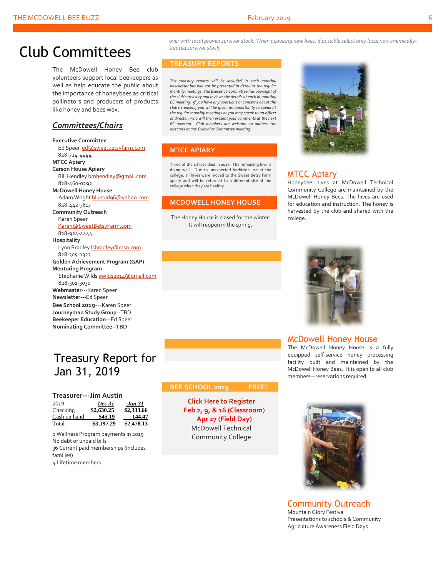## Club Committees

The McDowell Honey Bee club volunteers support local beekeepers as well as help educate the public about the importance of honeybees as critical pollinators and producers of products like honey and bees wax.

### *Committees/Chairs*

### **Executive Committee** Ed Speer [ed@sweetbetsyfarm.com](mailto:ed@sweetbetsyfarm.com) 828-724-4444 **MTCC Apiary Carson House Apiary** Bill Hendley **bmhendley** @gmail.com 828-460-0292 **McDowell Honey House** Adam Wright [blueold96@yahoo.com](mailto:blueold96@yahoo.com) 828-442-7817 **Community Outreach** Karen Speer [Karen@SweetBetsyFarm.com](mailto:Karen@SweetBetsyFarm.com) 828-924-4444 **Hospitality** Lynn Bradley **Isbradley@msn.com**  828-305-0323 **Golden Achievement Program (GAP) Mentoring Program** Stephanie Wild[s swilds2014@gmail.com](mailto:swilds2014@gmail.com) 828-301-3030 **Webmaster**---Karen Speer **Newsletter---**Ed Speer **Bee School 2019**---Karen Speer **Journeyman Study Group**--TBD **Beekeeper Education**—Ed Speer **Nominating Committee--TBD**

## Treasury Report for Jan 31, 2019

### **Treasurer---Jim Austin**

| 2019         | <b>Dec 31</b> | Jan 31     |
|--------------|---------------|------------|
| Checking     | \$2,630.25    | \$2,333.66 |
| Cash on hand | 545.19        | 144.47     |
| Total        | \$3,197.29    | \$2,478.13 |

0 Wellness Program payments in 2019 No debt or unpaid bills 36 Current paid memberships (includes families) 4 Lifetime members

*over with local proven survivor stock. When acquiring new bees, if possible select only local non-chemicallytreated survivor stock.*

### **TREASURY REPORTS**

*The treasury reports will be included in each monthly newsletter but will not be presented in detail at the regula monthly meetings. The Executive Committee has oversight of the club's treasury and reviews the details at each bi-monthly EC meeting. If you have any questions or concerns about the club's treasury, you will be given an opportunity to speak at the regular monthly meetings or you may speak to an officer or director, who will then present your comments at the next EC meeting. Club members are welcome to address the directors at any Executive Committee meeting.*

### **MTCC APIARY**

Three of the 4 hives died in 2017. The remaining hive is doing well. Due to unexpected herbicide use at the college, all hives were moved to the Sweet Betsy Farm apiary and will be returned to a different site at the college when they are healthy.

### **MCDOWELL HONEY HOUSE**

The Honey House is closed for the winter. It will reopen in the spring.



### MTCC Apiary

Honeybee hives at McDowell Technical Community College are maintained by the McDowell Honey Bees. The hives are used for education and instruction. The honey is harvested by the club and shared with the college.



### McDowell Honey House

The McDowell Honey House is a fully equipped self-service honey processing facility built and maintained by the McDowell Honey Bees. It is open to all club members—reservations required.



**[Click](https://www.mcdowellhoneybees.org/buzz-on-beekeeping-2018) [Here to Register](https://www.mcdowellhoneybees.org/buzz-on-beekeeping-2018) Feb 2, 9, & 16 (Classroom) Apr 27 (Field Day)** McDowell Technical Community College



Community Outreach Mountain Glory Festival Presentations to schools & Community Agriculture Awareness Field Days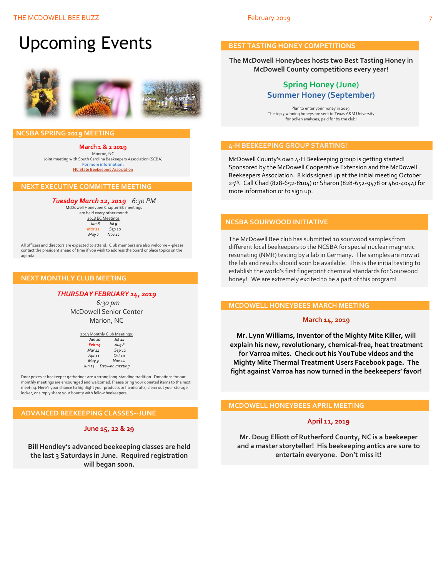# Upcoming Events



### **NCSBA SPRING 2019 MEETING**

**March 1 & 2 2019** Monroe, NC

Joint meeting with South Carolina Beekeepers Association (SCBA) **For more information:** [NC State Beekeepers Association](http://www.ncbeekeepers.org/)

### **NEXT EXECUTIVE COMMITTEE MEETING**

### *Tuesday March 12, 2019 6:30 PM*

McDowell Honeybee Chapter EC meetings are held every other month 2018 EC Meetings: *Jan 8 Jul 9 Mar 12 Sep 10 May 7 Nov 12*

All officers and directors are expected to attend. Club members are also welcome---please contact the president ahead of time if you wish to address the board or place topics on the agenda.

### **NEXT MONTHLY CLUB MEETING**

### *THURSDAY FEBRUARY 14, 2019*

 *6:30 pm* McDowell Senior Center Marion, NC

| 2019 Monthly Club Meetings: |                     |  |
|-----------------------------|---------------------|--|
| Jan 10                      | <b>Jul 11</b>       |  |
| Feb <sub>14</sub>           | Aug 8               |  |
| Mar 14                      | Sep 12              |  |
| Apr <sub>11</sub>           | $Oct$ <sub>10</sub> |  |
| May 9                       | <b>Nov 14</b>       |  |
| Jun 13                      | Dec-no meeting      |  |
|                             |                     |  |

Door prizes at beekeeper gatherings are a strong long-standing tradition. Donations for our monthly meetings are encouraged and welcomed. Please bring your donated items to the next meeting. Here's your chance to highlight your products or handicrafts, clean out your storage locker, or simply share your bounty with fellow beekeepers!

### **ADVANCED BEEKEEPING CLASSES--JUNE**

### **June 15, 22 & 29**

**Bill Hendley's advanced beekeeping classes are held the last 3 Saturdays in June. Required registration will began soon.**

### **BEST TASTING HONEY COMPETITIONS**

**The McDowell Honeybees hosts two Best Tasting Honey in McDowell County competitions every year!**

### **Spring Honey (June) Summer Honey (September)**

Plan to enter your honey in 2019! The top 3 winning honeys are sent to Texas A&M University for pollen analyses, paid for by the club!

### **4-H BEEKEEPING GROUP STARTING!**

McDowell County's own 4-H Beekeeping group is getting started! Sponsored by the McDowell Cooperative Extension and the McDowell Beekeepers Association. 8 kids signed up at the initial meeting October 25th. Call Chad (828-652-8104) or Sharon (828-652-9478 or 460-4044) for more information or to sign up.

### **NCSBA SOURWOOD INITIATIVE**

The McDowell Bee club has submitted 10 sourwood samples from different local beekeepers to the NCSBA for special nuclear magnetic resonating (NMR) testing by a lab in Germany. The samples are now at the lab and results should soon be available. This is the initial testing to establish the world's first fingerprint chemical standards for Sourwood honey! We are extremely excited to be a part of this program!

### **MCDOWELL HONEYBEES MARCH MEETING**

### **March 14, 2019**

**Mr. Lynn Williams, Inventor of the Mighty Mite Killer, will explain his new, revolutionary, chemical-free, heat treatment for Varroa mites. Check out his YouTube videos and the Mighty Mite Thermal Treatment Users Facebook page. The fight against Varroa has now turned in the beekeepers' favor!**

### **MCDOWELL HONEYBEES APRIL MEETING**

### **April 11, 2019**

**Mr. Doug Elliott of Rutherford County, NC is a beekeeper and a master storyteller! His beekeeping antics are sure to entertain everyone. Don't miss it!**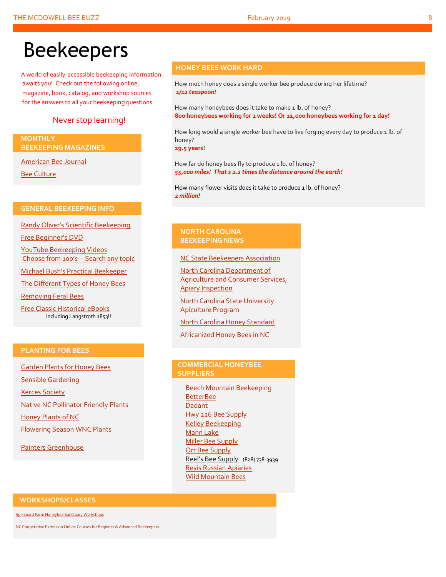# Beekeepers

A world of easily-accessible beekeeping information awaits you! Check out the following online, magazine, book, catalog, and workshop sources for the answers to all your beekeeping questions.

### Never stop learning!

### **MONTHLY BEEKEEPING MAGAZINES**

[American Bee Journal](http://www.americanbeejournal.com/)

[Bee Culture](http://www.beeculture.com/)

### **GENERAL BEEKEEPING INFO**

Randy Oliver's [Scientific Beekeeping](http://scientificbeekeeping.com/)

[Free Beginner's DVD](http://www.worldofbeekeeping.com/free-kit/)

[YouTube Beekeeping Videos](https://www.youtube.com/results?search_query=beekeeping) Choose from 100's[---Search any topic](https://www.youtube.com/results?search_query=beekeeping)

[Michael Bush's Practical Beekeeper](http://www.bushfarms.com/bees.htm)

[The Different Types of Honey Bees](https://www.cals.ncsu.edu/entomology/apiculture/pdfs/1.12%20copy.pdf)

[Removing Feral Bees](http://www.ces.ncsu.edu/depts/ent/notes/Urban/bees-faq.htm)

[Free Classic Historical eBooks](http://www.apiculture-populaire.com/) including Langstroth 1853!!

### **HONEY BEES WORK HARD**

How much honey does a single worker bee produce during her lifetime? *1/12 teaspoon!*

How many honeybees does it take to make 1 lb. of honey? **800 honeybees working for 2 weeks! Or 11,000 honeybees working for 1 day!**

How long would a single worker bee have to live forging every day to produce 1 lb. of honey?

**29.5 years!**

How far do honey bees fly to produce 1 lb. of honey? *55,000 miles! That s 2.2 times the distance around the earth!*

How many flower visits does it take to produce 1 lb. of honey? *2 million!*

### **NORTH CAROLINA BEEKEEPING NEWS**

[NC State Beekeepers Association](http://www.ncbeekeepers.org/)

[North Carolina Department of](http://www.ncbeekeepers.org/resources/apiary-inspection-program)  [Agriculture and Consumer Services,](http://www.ncbeekeepers.org/resources/apiary-inspection-program)  [Apiary Inspection](http://www.ncbeekeepers.org/resources/apiary-inspection-program)

[North Carolina State University](http://entomology.ncsu.edu/apiculture)  [Apiculture Program](http://entomology.ncsu.edu/apiculture)

[North Carolina Honey Standard](http://www.ncbeekeepers.org/honey/nc-honey-standard)

[Africanized Honey Bees in NC](http://wncbees.org/wp-content/uploads/2014/08/AHBs-Some-questions-and-answers-NCSU-1.03.pdf)

### **PLANTING FOR BEES**

[Garden Plants for Honey Bees](http://www.wicwas.com/Garden_Plants_for_Honey_Bees) [Sensible Gardening](http://sensiblegardening.com/busy-busy-bees/) [Xerces Society](http://www.xerces.org/pollinator-conservation/gardens/) [Native NC Pollinator Friendly Plants](http://wncbees.org/wp-content/uploads/2014/07/Recommended-Polliinator-Friendly-Plant-List-for-Greater-Asheville-NC-with-Nurseries.pdf) [Honey Plants of NC](http://wncbees.org/wp-content/uploads/2014/08/Honey-Plants-of-North-Carolina-NCSU-1.04.pdf) [Flowering Season WNC Plants](http://wncbees.org/wp-content/uploads/2014/07/Typical-Flowering-Seasons-for-Western-North-Carolina-Honey-and-Pollen-Sources-Edd-Buchanan-John-Mundy-Chris-Mathis.pdf)

[Painters Greenhouse](http://www.paintersgreenhouse.com/)

### **COMMERCIAL HONEYBEE SUPPLIERS**

[Beech Mountain Beekeeping](http://beechmountainbeesupply.com/store/cart.php) **[BetterBee](http://www.betterbee.com/)** [Dadant](https://www.dadant.com/) [Hwy 226 Bee Supply](http://hwy226beesupplies.com/) [Kelley Beekeeping](https://www.kelleybees.com/) [Mann Lake](http://www.mannlakeltd.com/) [Miller Bee Supply](http://millerbeesupply.com/catalog/) [Orr Bee Supply](http://www.orrbeesupply.com/) Reel's Bee Supply (828) 738-3939 [Revis Russian Apiaries](http://revisrussians.com/) [Wild Mountain](http://www.wildmountainbees.com/) Bees

### **WORKSHOPS/CLASSES**

[Spikenard Farm Honeybee Sanctuary Workshops](http://spikenardfarm.org/)

[NC Cooperative Extension Online Courses for Beginner &](https://entomology.ces.ncsu.edu/apiculture/bees/) Advanced Beekeepers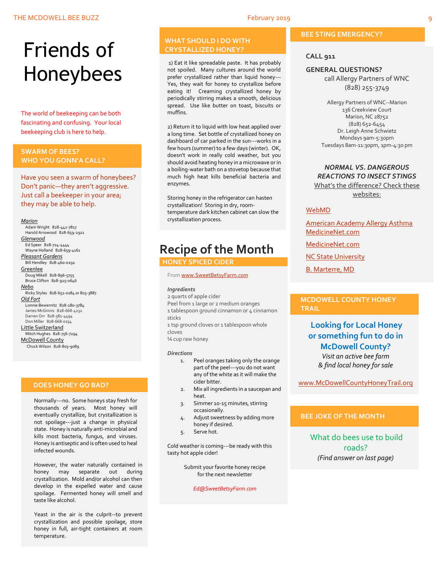# Friends of Honeybees

The world of beekeeping can be both fascinating and confusing. Your local beekeeping club is here to help.

### <span id="page-8-0"></span>**SWARM OF BEES? WHO YOU GONN'A CALL?**

Have you seen a swarm of honeybees? Don't panic—they aren't aggressive. Just call a beekeeper in your area; they may be able to help.

### *Marion*

 Adam Wright 828-442-7817 Harold Arrowood 828-659-2921 *Glenwood* Ed Speer 828-724-4444 Wayne Holland 828-659-4161 *Pleasant Gardens* Bill Hendley 828-460-0292 **Greenlee**  Doug Mikell 828-896-5755 Bruce Clifton 828-925-0646 *Nebo* Ricky Styles 828-652-0184 or 803-3887 *Old Fort* Lonnie Bewernitz 828-280-3784 James McGinnis 828-668-4232 Darren Orr 828-581-4494 Don Miller 828-668-0154 Little Switzerland Mitch Hughes 828-756-7294 McDowell County Chuck Wilson 828-803-9089

### **DOES HONEY GO BAD?**

Normally---no. Some honeys stay fresh for thousands of years. Most honey will eventually crystallize, but crystallization is not spoilage---just a change in physical state. Honey is naturally anti-microbial and kills most bacteria, fungus, and viruses. Honey is antiseptic and is often used to heal infected wounds.

However, the water naturally contained in honey may separate out during crystallization. Mold and/or alcohol can then develop in the expelled water and cause spoilage. Fermented honey will smell and taste like alcohol.

Yeast in the air is the culprit--to prevent crystallization and possible spoilage, store honey in full, air-tight containers at room temperature.

### **WHAT SHOULD I DO WITH CRYSTALLIZED HONEY?**

1) Eat it like spreadable paste. It has probably not spoiled. Many cultures around the world prefer crystallized rather than liquid honey--- Yes, they wait for honey to crystallize before eating it! Creaming crystallized honey by periodically stirring makes a smooth, delicious spread. Use like butter on toast, biscuits or muffins.

2) Return it to liquid with low heat applied over a long time. Set bottle of crystallized honey on dashboard of car parked in the sun---works in a few hours (summer) to a few days (winter). OK, doesn't work in really cold weather, but you should avoid heating honey in a microwave or in a boiling-water bath on a stovetop because that much high heat kills beneficial bacteria and enzymes.

Storing honey in the refrigerator can hasten crystallization! Storing in dry, roomtemperature dark kitchen cabinet can slow the crystallization process.

## **Recipe of the Month**

### **HONEY SPICED CIDER**

Fro[m www.SweetBetsyFarm.](http://www.sweetbetsyfarm.com/)*com*

### *Ingredients*

2 quarts of apple cider Peel from 1 large or 2 medium oranges 1 tablespoon ground cinnamon or 4 cinnamon sticks

1 tsp ground cloves or 1 tablespoon whole cloves

¼ cup raw honey

### *Directions*

- 1. Peel oranges taking only the orange part of the peel---you do not want any of the white as it will make the cider bitter.
- 2. Mix all ingredients in a saucepan and heat.
- 3. Simmer 10-15 minutes, stirring occasionally.
- 4. Adjust sweetness by adding more honey if desired.
- 5. Serve hot.

Cold weather is coming---be ready with this tasty hot apple cider!

> Submit your favorite honey recipe for the next newsletter

> > *Ed@SweetBetsyFarm.com*

### **BEE STING EMERGENCY?**

### **CALL 911**

### **GENERAL QUESTIONS?**

call Allergy Partners of WNC (828) 255-3749

Allergy Partners of WNC--Marion 136 Creekview Court Marion, NC 28752 (828) 652-6454 Dr. Leigh Anne Schwietz Mondays 9am-5:30pm Tuesdays 8am-11:30pm, 1pm-4:30 pm

### *NORMAL VS. DANGEROUS REACTIONS TO INSECT STINGS* What's the difference? Check these

websites:

### [WebMD](http://www.webmd.com/allergies/guide/insect-stings)

[American Academy Allergy Asthma](http://www.aaaai.org/conditions-and-treatments/library/allergy-library/stinging-insect-allergy.aspx) [MedicineNet.com](http://www.medicinenet.com/insect_sting_allergies/article.htm)

[MedicineNet.com](http://www.medicinenet.com/insect_sting_allergies/article.htm)

**[NC State University](http://wncbees.org/wp-content/uploads/2014/08/Allergy-to-Insect-Stings-NCSU-1.09.pdf)** 

[B. Marterre, MD](http://wncbees.org/wp-content/uploads/2014/08/Bee-Stings-Immunology-Allergy-and-Treatment-Marterre.pdf)

### **MCDOWELL COUNTY HONEY TRAIL**

**Looking for Local Honey or something fun to do in McDowell County?** *Visit an active bee farm & find local honey for sale*

[www.McDowellCountyHoneyTrail.org](http://www.mcdowellcountyhoneytrail.org/)

### **BEE JOKE OF THE MONTH**

What do bees use to build roads? *(Find answer on last page)*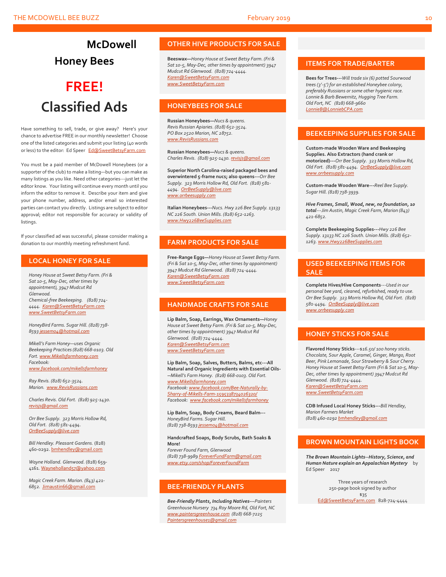# **Honey Bees**

**McDowell** 

## **FREE! Classified Ads**

Have something to sell, trade, or give away? Here's your chance to advertise FREE in our monthly newsletter! Choose one of the listed categories and submit your listing (40 words or less) to the editor: Ed Speer [Ed@SweetBetsyFarm.com](mailto:Ed@SweetBetsyFarm.com)

You must be a paid member of McDowell Honeybees (or a supporter of the club) to make a listing—but you can make as many listings as you like. Need other categories---just let the editor know. Your listing will continue every month until you inform the editor to remove it. Describe your item and give your phone number, address, and/or email so interested parties can contact you directly. Listings are subject to editor approval; editor not responsible for accuracy or validity of listings.

If your classified ad was successful, please consider making a donation to our monthly meeting refreshment fund.

### **LOCAL HONEY FOR SALE**

*Honey House at Sweet Betsy Farm. (Fri & Sat 10-5, May-Dec, other times by appointment), 3947 Mudcut Rd Glenwood. Chemical-free Beekeeping. (828) 724- 4444. [Karen@SweetBetsyFarm.com](mailto:Karen@SweetBetsyFarm.com) www.SweetBetsyFarm.com*

*HoneyBird Farms. Sugar Hill. (828) 738- 859[3 jessem04@hotmail.com](mailto:jessem04@hotmail.com)*

*Mikell's Farm Honey—uses Organic Beekeeping Practices (828) 668-0103. Old Fort[. www.Mikellsfarmhoney.com](http://www.mikellsfarmhoney.com/) Facebook: [www.facebook.com/mikellsfarmhoney](http://www.facebook.com/mikellsfarmhoney)*

*Ray Revis. (828) 652-3524. Marion. [www.RevisRussians.com](http://www.revisrussians.com/)*

*Charles Revis. Old Fort. (828) 925-1430. [revisjs@gmail.com](mailto:revisjs@gmail.com)*

*Orr Bee Supply. 323 Morris Hollow Rd, Old Fort. (828) 581-4494. [OrrBeeSupply@live.com](mailto:OrrBeeSupply@live.com)*

*Bill Hendley. Pleasant Gardens.* (828) 460-0292[. bmhendley@gmail.com](mailto:bmhendley@gmail.com)

*Wayne Holland. Glenwood.* (828) 659- 4161[. Wayneholland57@yahoo.com](mailto:Wayneholland57@yahoo.com)

*Magic Creek Farm. Marion. (843) 421- 6852.* [Jimaustin66@gmail.com](mailto:Jimaustin66@gmail.com)

### **OTHER HIVE PRODUCTS FOR SALE**

**Beeswax—***Honey House at Sweet Betsy Farm. (Fri & Sat 10-5, May-Dec, other times by appointment) 3947 Mudcut Rd Glenwood. (828) 724-4444. [Karen@SweetBetsyFarm.com](mailto:Karen@SweetBetsyFarm.com) www.SweetBetsyFarm.com*

### **HONEYBEES FOR SALE**

**Russian Honeybees—***Nucs & queens. Revis Russian Apiaries. (828) 652-3524. PO Box 2520 Marion, NC 28752. [www.RevisRussians.com](http://www.revisrussians.com/)*

**Russian Honeybees—***Nucs & queens. Charles Revis. (828) 925-1430. [revisjs@gmail.com](mailto:revisjs@gmail.com)*

**Superior North Carolina-raised packaged bees and overwintered 5-frame nucs; also queens---***Orr Bee Supply. 323 Morris Hollow Rd, Old Fort. (828) 581- 4494. [OrrBeeSupply@live.com](mailto:OrrBeeSupply@live.com) www.orrbeesupply.com*

**Italian Honeybees---***Nucs. Hwy 226 Bee Supply. 13133 NC 226 South. Union Mills. (828) 652-1263. [www.Hwy226BeeSupplies.com](http://www.hwy226beesupplies.com/)*

### **FARM PRODUCTS FOR SALE**

**Free-Range Eggs—***Honey House at Sweet Betsy Farm. (Fri & Sat 10-5, May-Dec, other times by appointment) 3947 Mudcut Rd Glenwood. (828) 724-4444. [Karen@SweetBetsyFarm.com](mailto:Karen@SweetBetsyFarm.com) www.SweetBetsyFarm.com*

### **HANDMADE CRAFTS FOR SALE**

**Lip Balm, Soap, Earrings, Wax Ornaments—***Honey House at Sweet Betsy Farm. (Fri & Sat 10-5, May-Dec, other times by appointment) 3947 Mudcut Rd Glenwood. (828) 724-4444. [Karen@SweetBetsyFarm.com](mailto:Karen@SweetBetsyFarm.com) [www.SweetBetsyFarm.com](http://www.sweetbetsyfarm.com/)*

**Lip Balm, Soap, Salves, Butters, Balms, etc---All Natural and Organic Ingredients with Essential Oils- --***Mikell's Farm Honey. (828) 668-0103. Old Fort. [www.Mikellsfarmhoney.com](http://www.mikellsfarmhoney.com/) Facebook[: www.facebook.com/Bee-Naturally-by-](http://www.facebook.com/Bee-Naturally-by-Sharry-of-Mikells-Farm-1595338734026320/)[Sharry-of-Mikells-Farm-1595338734026320/](http://www.facebook.com/Bee-Naturally-by-Sharry-of-Mikells-Farm-1595338734026320/) Facebook: [www.facebook.com/mikellsfarmhoney](http://www.facebook.com/mikellsfarmhoney)*

**Lip Balm, Soap, Body Creams, Beard Balm---** *HoneyBird Farms. Sugar Hill. (828) 738-859[3 jessem04@hotmail.com](mailto:jessem04@hotmail.com)*

**Handcrafted Soaps, Body Scrubs, Bath Soaks & More!**

*Forever Found Farm, Glenwood (828) 738-9989 [ForeverFundFarm@gmail.com](mailto:ForeverFundFarm@gmail.com) [www.etsy.com/shop/ForeverFoundFarm](http://www.etsy.com/shop/ForeverFoundFarm)*

### **BEE-FRIENDLY PLANTS**

*Bee-Friendly Plants, Including Natives---Painters Greenhouse Nursery 734 Roy Moore Rd, Old Fort, NC [www.paintersgreenhouse.com](http://www.paintersgreenhouse.com/) (828) 668-7225 [Paintersgreenhouse1@gmail.com](mailto:Paintersgreenhouse1@gmail.com)*

### **ITEMS FOR TRADE/BARTER**

**Bees for Trees---***Will trade six (6) potted Sourwood trees (3'-5') for an established Honeybee colony, preferably Russians or some other hygienic race. Lonnie & Barb Bewernitz, Hugging Tree Farm. Old Fort, NC (828) 668-9660 [LonnieB@LonniebCPA.com](mailto:LonnieB@LonniebCPA.com)*

### **BEEKEEPING SUPPLIES FOR SALE**

**Custom-made Wooden Ware and Beekeeping Supplies. Also Extractors (hand crank or motorized)---***Orr Bee Supply. 323 Morris Hollow Rd, Old Fort. (828) 581-4494. [OrrBeeSupply@live.com](mailto:OrrBeeSupply@live.com) [www.orrbeesupply.com](file:///K:/McDowell%20Honeybees/2016/2016%20Newsletters/May%202016%20Newsletter/www.orrbeesupply.com)*

**Custom-made Wooden Ware---***Reel Bee Supply. Sugar Hill. (828) 738-3939.*

*Hive Frames, Small, Wood, new, no foundation, 10 total---Jim Austin, Magic Creek Farm, Marion (843) 421-6852.*

**Complete Beekeeping Supplies---***Hwy 226 Bee Supply. 13133 NC 226 South. Union Mills. (828) 652- 1263[. www.Hwy226BeeSupplies.com](http://www.hwy226beesupplies.com/)*

### **USED BEEKEEPING ITEMS FOR SALE**

**Complete Hives/Hive Components**---*Used in our personal bee yard, cleaned, refurbished, ready to use. Orr Bee Supply. 323 Morris Hollow Rd, Old Fort. (828) 581-4494. [OrrBeeSupply@live.com](mailto:OrrBeeSupply@live.com) [www.orrbeesupply.com](file:///K:/McDowell%20Honeybees/2016/2016%20Newsletters/May%202016%20Newsletter/www.orrbeesupply.com)*

### **HONEY STICKS FOR SALE**

**Flavored Honey Sticks**---\$*16.50/ 100 honey sticks. Chocolate, Sour Apple, Caramel, Ginger, Mango, Root Beer, Pink Lemonade, Sour Strawberry & Sour Cherry. Honey House at Sweet Betsy Farm (Fri & Sat 10-5, May-Dec, other times by appointment) 3947 Mudcut Rd Glenwood. (828) 724-4444. [Karen@SweetBetsyFarm.com](mailto:Karen@SweetBetsyFarm.com) www.SweetBetsyFarm.com*

**CDB Infused Local Honey Sticks---***Bill Hendley, Marion Farmers Market (828) 460-0292 [bmhendley@gmail.com](mailto:bmhendley@gmail.com)*

### **BROWN MOUNTAIN LIGHTS BOOK**

*The Brown Mountain Lights--History, Science, and Human Nature explain an Appalachian Mystery* by Ed Speer 2017

> Three years of research 250-page book signed by author \$35

[Ed@SweetBetsyFarm.com](mailto:Ed@SweetBetsyFarm.com) 828-724-4444